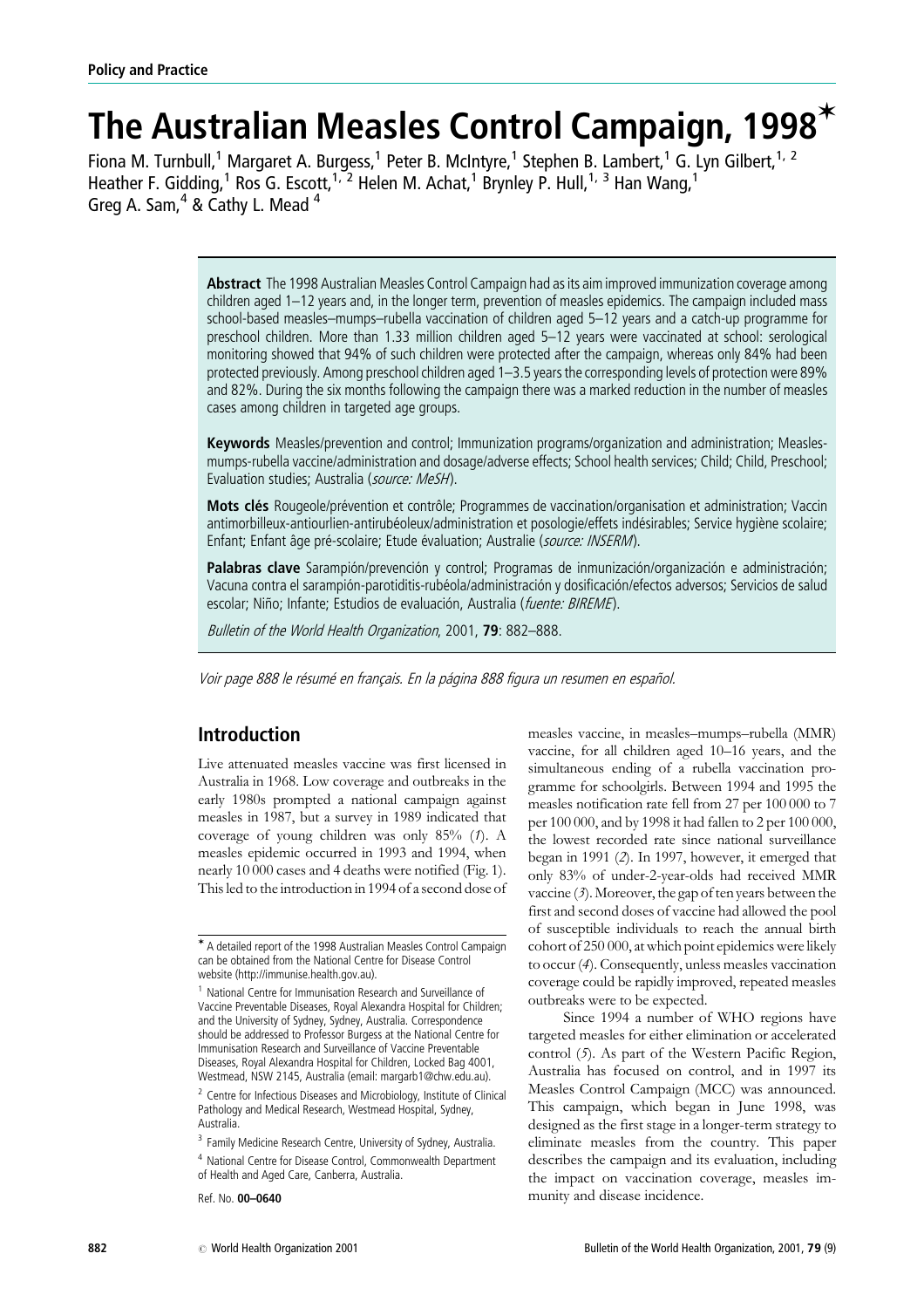# The Australian Measles Control Campaign, 1998 $*$

Fiona M. Turnbull,<sup>1</sup> Margaret A. Burgess,<sup>1</sup> Peter B. McIntyre,<sup>1</sup> Stephen B. Lambert,<sup>1</sup> G. Lyn Gilbert,<sup>1, 2</sup> Heather F. Gidding,<sup>1</sup> Ros G. Escott,<sup>1, 2</sup> Helen M. Achat,<sup>1</sup> Brynley P. Hull,<sup>1, 3</sup> Han Wang,<sup>1</sup> Greg A. Sam,  $4$  & Cathy L. Mead  $4$ 

> Abstract The 1998 Australian Measles Control Campaign had as its aim improved immunization coverage among children aged 1–12 years and, in the longer term, prevention of measles epidemics. The campaign included mass school-based measles–mumps–rubella vaccination of children aged 5–12 years and a catch-up programme for preschool children. More than 1.33 million children aged 5–12 years were vaccinated at school: serological monitoring showed that 94% of such children were protected after the campaign, whereas only 84% had been protected previously. Among preschool children aged 1–3.5 years the corresponding levels of protection were 89% and 82%. During the six months following the campaign there was a marked reduction in the number of measles cases among children in targeted age groups.

> Keywords Measles/prevention and control; Immunization programs/organization and administration; Measlesmumps-rubella vaccine/administration and dosage/adverse effects; School health services; Child; Child, Preschool; Evaluation studies; Australia (source: MeSH).

> Mots clés Rougeole/prévention et contrôle; Programmes de vaccination/organisation et administration; Vaccin antimorbilleux-antiourlien-antirubéoleux/administration et posologie/effets indésirables; Service hygiène scolaire; Enfant: Enfant âge pré-scolaire: Etude évaluation: Australie (source: INSERM).

> Palabras clave Sarampión/prevención y control; Programas de inmunización/organización e administración; Vacuna contra el sarampión-parotiditis-rubéola/administración y dosificación/efectos adversos; Servicios de salud escolar; Niño; Infante; Estudios de evaluación, Australia (fuente: BIREME).

Bulletin of the World Health Organization, 2001, 79: 882-888.

Voir page 888 le résumé en français. En la página 888 figura un resumen en español.

# Introduction

Live attenuated measles vaccine was first licensed in Australia in 1968. Low coverage and outbreaks in the early 1980s prompted a national campaign against measles in 1987, but a survey in 1989 indicated that coverage of young children was only  $85\%$  (1). A measles epidemic occurred in 1993 and 1994, when nearly 10 000 cases and 4 deaths were notified (Fig. 1). This led to the introduction in 1994 of a second dose of measles vaccine, in measles–mumps–rubella (MMR) vaccine, for all children aged 10–16 years, and the simultaneous ending of a rubella vaccination programme for schoolgirls. Between 1994 and 1995 the measles notification rate fell from 27 per 100 000 to 7 per 100 000, and by 1998 it had fallen to 2 per 100 000, the lowest recorded rate since national surveillance began in 1991 (2). In 1997, however, it emerged that only 83% of under-2-year-olds had received MMR vaccine  $(3)$ . Moreover, the gap of ten years between the first and second doses of vaccine had allowed the pool of susceptible individuals to reach the annual birth cohort of 250 000, at which point epidemics were likely to occur (4). Consequently, unless measles vaccination coverage could be rapidly improved, repeated measles outbreaks were to be expected.

Since 1994 a number of WHO regions have targeted measles for either elimination or accelerated control (5). As part of the Western Pacific Region, Australia has focused on control, and in 1997 its Measles Control Campaign (MCC) was announced. This campaign, which began in June 1998, was designed as the first stage in a longer-term strategy to eliminate measles from the country. This paper describes the campaign and its evaluation, including the impact on vaccination coverage, measles immunity and disease incidence.

<sup>V</sup> A detailed report of the 1998 Australian Measles Control Campaign can be obtained from the National Centre for Disease Control website (http://immunise.health.gov.au).

<sup>&</sup>lt;sup>1</sup> National Centre for Immunisation Research and Surveillance of Vaccine Preventable Diseases, Royal Alexandra Hospital for Children; and the University of Sydney, Sydney, Australia. Correspondence should be addressed to Professor Burgess at the National Centre for Immunisation Research and Surveillance of Vaccine Preventable Diseases, Royal Alexandra Hospital for Children, Locked Bag 4001, Westmead, NSW 2145, Australia (email: margarb1@chw.edu.au).

<sup>&</sup>lt;sup>2</sup> Centre for Infectious Diseases and Microbiology, Institute of Clinical Pathology and Medical Research, Westmead Hospital, Sydney, Australia.

<sup>&</sup>lt;sup>3</sup> Family Medicine Research Centre, University of Sydney, Australia.

<sup>4</sup> National Centre for Disease Control, Commonwealth Department of Health and Aged Care, Canberra, Australia.

Ref. No. 00–0640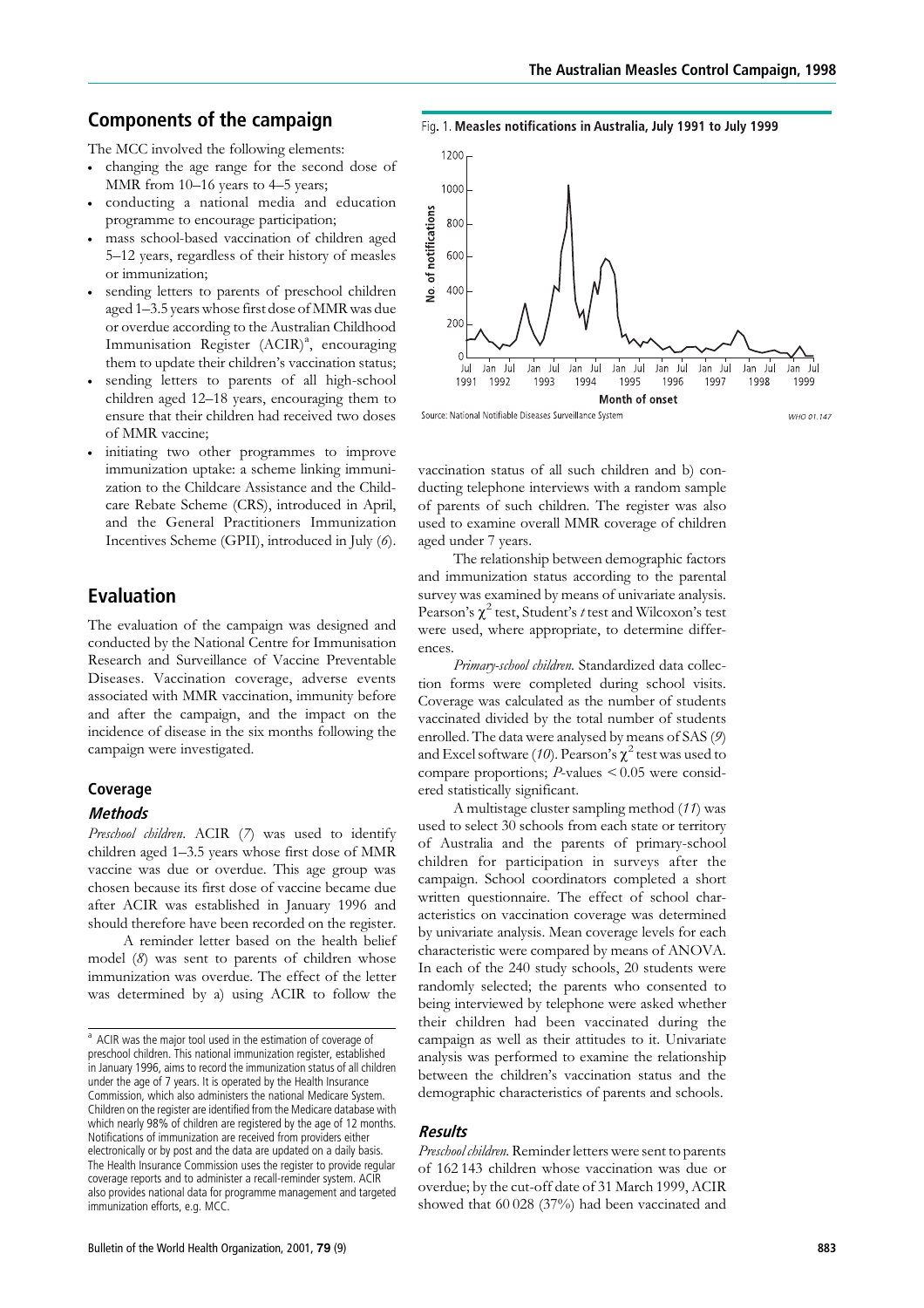# Components of the campaign

The MCC involved the following elements:

- . changing the age range for the second dose of MMR from 10–16 years to 4–5 years;
- . conducting a national media and education programme to encourage participation;
- . mass school-based vaccination of children aged 5–12 years, regardless of their history of measles or immunization;
- . sending letters to parents of preschool children aged 1–3.5 years whose first dose of MMR was due or overdue according to the Australian Childhood Immunisation Register (ACIR)<sup>a</sup>, encouraging them to update their children's vaccination status;
- . sending letters to parents of all high-school children aged 12–18 years, encouraging them to ensure that their children had received two doses of MMR vaccine;
- . initiating two other programmes to improve immunization uptake: a scheme linking immunization to the Childcare Assistance and the Childcare Rebate Scheme (CRS), introduced in April, and the General Practitioners Immunization Incentives Scheme (GPII), introduced in July (6).

# Evaluation

The evaluation of the campaign was designed and conducted by the National Centre for Immunisation Research and Surveillance of Vaccine Preventable Diseases. Vaccination coverage, adverse events associated with MMR vaccination, immunity before and after the campaign, and the impact on the incidence of disease in the six months following the campaign were investigated.

# Coverage

# **Methods**

Preschool children. ACIR (7) was used to identify children aged 1–3.5 years whose first dose of MMR vaccine was due or overdue. This age group was chosen because its first dose of vaccine became due after ACIR was established in January 1996 and should therefore have been recorded on the register.

A reminder letter based on the health belief model (8) was sent to parents of children whose immunization was overdue. The effect of the letter was determined by a) using ACIR to follow the

Fig. 1. Measles notifications in Australia, July 1991 to July 1999



Source: National Notifiable Diseases Surveillance System WHO 01 147

vaccination status of all such children and b) conducting telephone interviews with a random sample of parents of such children. The register was also used to examine overall MMR coverage of children aged under 7 years.

The relationship between demographic factors and immunization status according to the parental survey was examined by means of univariate analysis. Pearson's  $\chi^2$  test, Student's t test and Wilcoxon's test were used, where appropriate, to determine differences.

Primary-school children. Standardized data collection forms were completed during school visits. Coverage was calculated as the number of students vaccinated divided by the total number of students enrolled. The data were analysed by means of SAS (9) and Excel software (10). Pearson's  $\chi^2$  test was used to compare proportions; P-values < 0.05 were considered statistically significant.

A multistage cluster sampling method (11) was used to select 30 schools from each state or territory of Australia and the parents of primary-school children for participation in surveys after the campaign. School coordinators completed a short written questionnaire. The effect of school characteristics on vaccination coverage was determined by univariate analysis. Mean coverage levels for each characteristic were compared by means of ANOVA. In each of the 240 study schools, 20 students were randomly selected; the parents who consented to being interviewed by telephone were asked whether their children had been vaccinated during the campaign as well as their attitudes to it. Univariate analysis was performed to examine the relationship between the children's vaccination status and the demographic characteristics of parents and schools.

#### Results

Preschool children. Reminder letters were sent to parents of 162 143 children whose vaccination was due or overdue; by the cut-off date of 31 March 1999, ACIR showed that 60 028 (37%) had been vaccinated and

<sup>&</sup>lt;sup>a</sup> ACIR was the major tool used in the estimation of coverage of preschool children. This national immunization register, established in January 1996, aims to record the immunization status of all children under the age of 7 years. It is operated by the Health Insurance Commission, which also administers the national Medicare System. Children on the register are identified from the Medicare database with which nearly 98% of children are registered by the age of 12 months. Notifications of immunization are received from providers either electronically or by post and the data are updated on a daily basis. The Health Insurance Commission uses the register to provide regular coverage reports and to administer a recall-reminder system. ACIR also provides national data for programme management and targeted immunization efforts, e.g. MCC.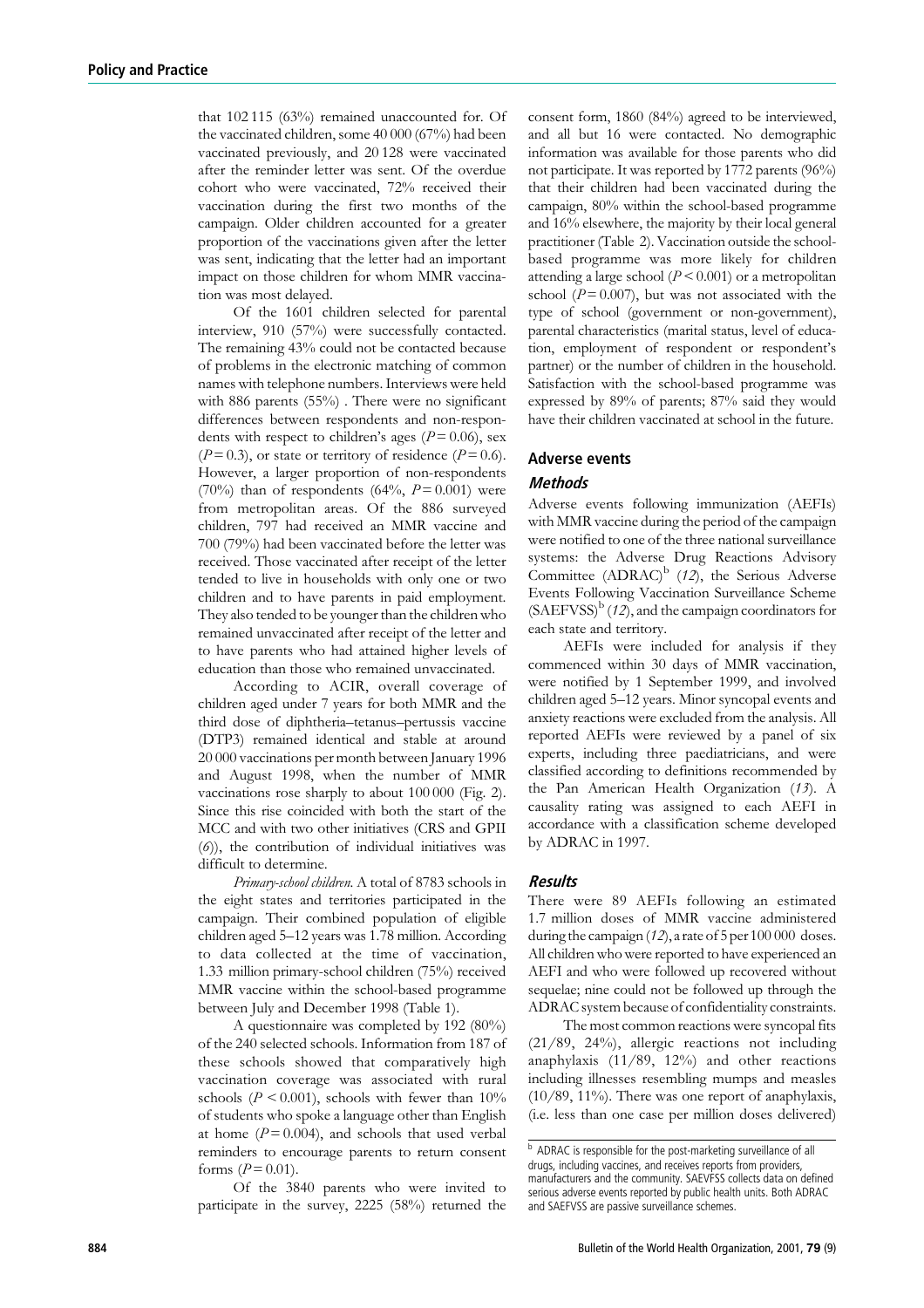that 102 115 (63%) remained unaccounted for. Of the vaccinated children, some 40 000 (67%) had been vaccinated previously, and 20 128 were vaccinated after the reminder letter was sent. Of the overdue cohort who were vaccinated, 72% received their vaccination during the first two months of the campaign. Older children accounted for a greater proportion of the vaccinations given after the letter was sent, indicating that the letter had an important impact on those children for whom MMR vaccination was most delayed.

Of the 1601 children selected for parental interview, 910 (57%) were successfully contacted. The remaining 43% could not be contacted because of problems in the electronic matching of common names with telephone numbers. Interviews were held with 886 parents (55%) . There were no significant differences between respondents and non-respondents with respect to children's ages ( $P = 0.06$ ), sex  $(P=0.3)$ , or state or territory of residence  $(P=0.6)$ . However, a larger proportion of non-respondents (70%) than of respondents (64%,  $P = 0.001$ ) were from metropolitan areas. Of the 886 surveyed children, 797 had received an MMR vaccine and 700 (79%) had been vaccinated before the letter was received. Those vaccinated after receipt of the letter tended to live in households with only one or two children and to have parents in paid employment. They also tended to be younger than the children who remained unvaccinated after receipt of the letter and to have parents who had attained higher levels of education than those who remained unvaccinated.

According to ACIR, overall coverage of children aged under 7 years for both MMR and the third dose of diphtheria–tetanus–pertussis vaccine (DTP3) remained identical and stable at around 20 000 vaccinations per month between January 1996 and August 1998, when the number of MMR vaccinations rose sharply to about 100 000 (Fig. 2). Since this rise coincided with both the start of the MCC and with two other initiatives (CRS and GPII (6)), the contribution of individual initiatives was difficult to determine.

Primary-school children. A total of 8783 schools in the eight states and territories participated in the campaign. Their combined population of eligible children aged 5–12 years was 1.78 million. According to data collected at the time of vaccination, 1.33 million primary-school children (75%) received MMR vaccine within the school-based programme between July and December 1998 (Table 1).

A questionnaire was completed by 192 (80%) of the 240 selected schools. Information from 187 of these schools showed that comparatively high vaccination coverage was associated with rural schools ( $P \le 0.001$ ), schools with fewer than  $10\%$ of students who spoke a language other than English at home  $(P = 0.004)$ , and schools that used verbal reminders to encourage parents to return consent forms  $(P = 0.01)$ .

Of the 3840 parents who were invited to participate in the survey, 2225 (58%) returned the

consent form, 1860 (84%) agreed to be interviewed, and all but 16 were contacted. No demographic information was available for those parents who did not participate. It was reported by 1772 parents (96%) that their children had been vaccinated during the campaign, 80% within the school-based programme and 16% elsewhere, the majority by their local general practitioner (Table 2). Vaccination outside the schoolbased programme was more likely for children attending a large school ( $P \leq 0.001$ ) or a metropolitan school ( $P = 0.007$ ), but was not associated with the type of school (government or non-government), parental characteristics (marital status, level of education, employment of respondent or respondent's partner) or the number of children in the household. Satisfaction with the school-based programme was expressed by 89% of parents; 87% said they would have their children vaccinated at school in the future.

#### Adverse events

#### **Methods**

Adverse events following immunization (AEFIs) with MMR vaccine during the period of the campaign were notified to one of the three national surveillance systems: the Adverse Drug Reactions Advisory Committee (ADRAC)<sup>b</sup> (12), the Serious Adverse Events Following Vaccination Surveillance Scheme  $(SAEFVSS)^b$  (12), and the campaign coordinators for each state and territory.

AEFIs were included for analysis if they commenced within 30 days of MMR vaccination, were notified by 1 September 1999, and involved children aged 5–12 years. Minor syncopal events and anxiety reactions were excluded from the analysis. All reported AEFIs were reviewed by a panel of six experts, including three paediatricians, and were classified according to definitions recommended by the Pan American Health Organization (13). A causality rating was assigned to each AEFI in accordance with a classification scheme developed by ADRAC in 1997.

#### **Results**

There were 89 AEFIs following an estimated 1.7 million doses of MMR vaccine administered during the campaign (12), a rate of 5 per 100 000 doses. All children who were reported to have experienced an AEFI and who were followed up recovered without sequelae; nine could not be followed up through the ADRAC system because of confidentiality constraints.

The most common reactions were syncopal fits (21/89, 24%), allergic reactions not including anaphylaxis (11/89, 12%) and other reactions including illnesses resembling mumps and measles (10/89, 11%). There was one report of anaphylaxis, (i.e. less than one case per million doses delivered)

<sup>b</sup> ADRAC is responsible for the post-marketing surveillance of all drugs, including vaccines, and receives reports from providers, manufacturers and the community. SAEVFSS collects data on defined serious adverse events reported by public health units. Both ADRAC and SAEFVSS are passive surveillance schemes.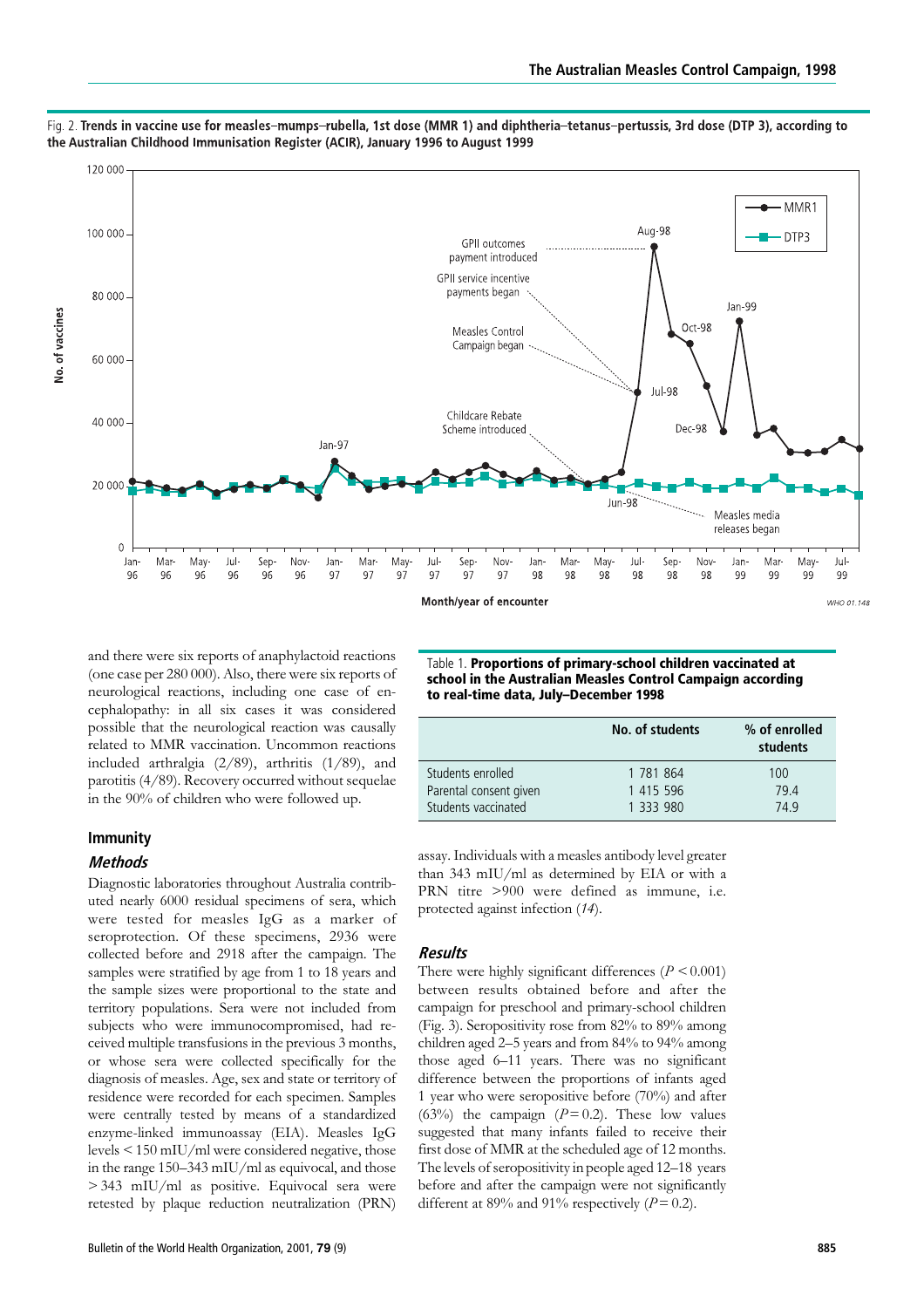

Fig. 2. Trends in vaccine use for measles-mumps-rubella, 1st dose (MMR 1) and diphtheria-tetanus-pertussis, 3rd dose (DTP 3), according to the Australian Childhood Immunisation Register (ACIR), January 1996 to August 1999

and there were six reports of anaphylactoid reactions (one case per 280 000). Also, there were six reports of neurological reactions, including one case of encephalopathy: in all six cases it was considered possible that the neurological reaction was causally related to MMR vaccination. Uncommon reactions included arthralgia (2/89), arthritis (1/89), and parotitis (4/89). Recovery occurred without sequelae in the 90% of children who were followed up.

# Immunity

# Methods

Diagnostic laboratories throughout Australia contributed nearly 6000 residual specimens of sera, which were tested for measles IgG as a marker of seroprotection. Of these specimens, 2936 were collected before and 2918 after the campaign. The samples were stratified by age from 1 to 18 years and the sample sizes were proportional to the state and territory populations. Sera were not included from subjects who were immunocompromised, had received multiple transfusions in the previous 3 months, or whose sera were collected specifically for the diagnosis of measles. Age, sex and state or territory of residence were recorded for each specimen. Samples were centrally tested by means of a standardized enzyme-linked immunoassay (EIA). Measles IgG levels < 150 mIU/ml were considered negative, those in the range 150–343 mIU/ml as equivocal, and those > 343 mIU/ml as positive. Equivocal sera were retested by plaque reduction neutralization (PRN)

Table 1. Proportions of primary-school children vaccinated at school in the Australian Measles Control Campaign according to real-time data, July–December 1998

|                                               | No. of students        | % of enrolled<br>students |  |
|-----------------------------------------------|------------------------|---------------------------|--|
| Students enrolled                             | 1 781 864              | 100                       |  |
| Parental consent given<br>Students vaccinated | 1 415 596<br>1 333 980 | 79.4<br>74.9              |  |

assay. Individuals with a measles antibody level greater than 343 mIU/ml as determined by EIA or with a PRN titre >900 were defined as immune, i.e. protected against infection (14).

# Results

There were highly significant differences ( $P \le 0.001$ ) between results obtained before and after the campaign for preschool and primary-school children (Fig. 3). Seropositivity rose from 82% to 89% among children aged 2–5 years and from 84% to 94% among those aged 6–11 years. There was no significant difference between the proportions of infants aged 1 year who were seropositive before (70%) and after (63%) the campaign ( $P = 0.2$ ). These low values suggested that many infants failed to receive their first dose of MMR at the scheduled age of 12 months. The levels of seropositivity in people aged 12–18 years before and after the campaign were not significantly different at 89% and 91% respectively  $(P = 0.2)$ .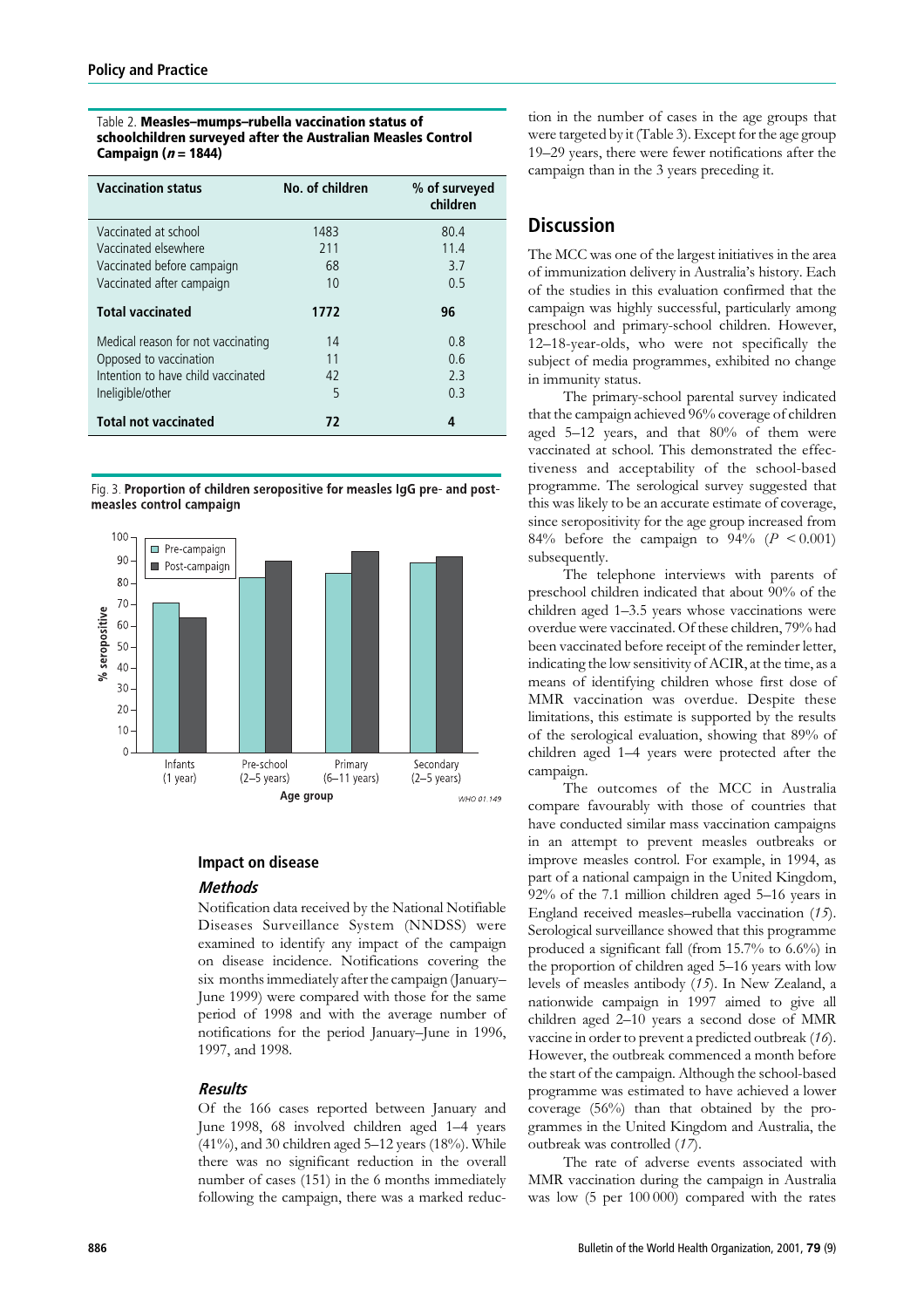#### Table 2. Measles–mumps–rubella vaccination status of schoolchildren surveyed after the Australian Measles Control Campaign  $(n = 1844)$

| <b>Vaccination status</b>          | No. of children | % of surveyed<br>children |
|------------------------------------|-----------------|---------------------------|
| Vaccinated at school               | 1483            | 80.4                      |
| Vaccinated elsewhere               | 211             | 11.4                      |
| Vaccinated before campaign         | 68              | 3.7                       |
| Vaccinated after campaign          | 10              | 0.5                       |
| <b>Total vaccinated</b>            | 1772            | 96                        |
| Medical reason for not vaccinating | 14              | 0.8                       |
| Opposed to vaccination             | 11              | 0.6                       |
| Intention to have child vaccinated | 42              | 2.3                       |
| Ineligible/other                   | 5               | 0.3                       |
| <b>Total not vaccinated</b>        | 72              | 4                         |

Fig. 3. Proportion of children seropositive for measles IgG pre- and postmeasles control campaign



# Impact on disease

# Methods

Notification data received by the National Notifiable Diseases Surveillance System (NNDSS) were examined to identify any impact of the campaign on disease incidence. Notifications covering the six months immediately after the campaign(January– June 1999) were compared with those for the same period of 1998 and with the average number of notifications for the period January–June in 1996, 1997, and 1998.

# Results

Of the 166 cases reported between January and June 1998, 68 involved children aged 1–4 years  $(41\%)$ , and 30 children aged 5-12 years  $(18\%)$ . While there was no significant reduction in the overall number of cases (151) in the 6 months immediately following the campaign, there was a marked reduc-

tion in the number of cases in the age groups that were targeted by it (Table 3). Except for the age group 19–29 years, there were fewer notifications after the campaign than in the 3 years preceding it.

# **Discussion**

The MCC was one of the largest initiatives in the area of immunization delivery in Australia's history. Each of the studies in this evaluation confirmed that the campaign was highly successful, particularly among preschool and primary-school children. However, 12–18-year-olds, who were not specifically the subject of media programmes, exhibited no change in immunity status.

The primary-school parental survey indicated that the campaign achieved 96% coverage of children aged 5–12 years, and that 80% of them were vaccinated at school. This demonstrated the effectiveness and acceptability of the school-based programme. The serological survey suggested that this was likely to be an accurate estimate of coverage, since seropositivity for the age group increased from 84% before the campaign to  $94\%$  ( $P < 0.001$ ) subsequently.

The telephone interviews with parents of preschool children indicated that about 90% of the children aged 1–3.5 years whose vaccinations were overdue were vaccinated. Of these children, 79% had been vaccinated before receipt of the reminder letter, indicating the low sensitivity of ACIR, at the time, as a means of identifying children whose first dose of MMR vaccination was overdue. Despite these limitations, this estimate is supported by the results of the serological evaluation, showing that 89% of children aged 1–4 years were protected after the campaign.

The outcomes of the MCC in Australia compare favourably with those of countries that have conducted similar mass vaccination campaigns in an attempt to prevent measles outbreaks or improve measles control. For example, in 1994, as part of a national campaign in the United Kingdom, 92% of the 7.1 million children aged 5–16 years in England received measles–rubella vaccination (15). Serological surveillance showed that this programme produced a significant fall (from 15.7% to 6.6%) in the proportion of children aged 5–16 years with low levels of measles antibody (15). In New Zealand, a nationwide campaign in 1997 aimed to give all children aged 2–10 years a second dose of MMR vaccine in order to prevent a predicted outbreak (16). However, the outbreak commenced a month before the start of the campaign. Although the school-based programme was estimated to have achieved a lower coverage (56%) than that obtained by the programmes in the United Kingdom and Australia, the outbreak was controlled (17).

The rate of adverse events associated with MMR vaccination during the campaign in Australia was low (5 per 100 000) compared with the rates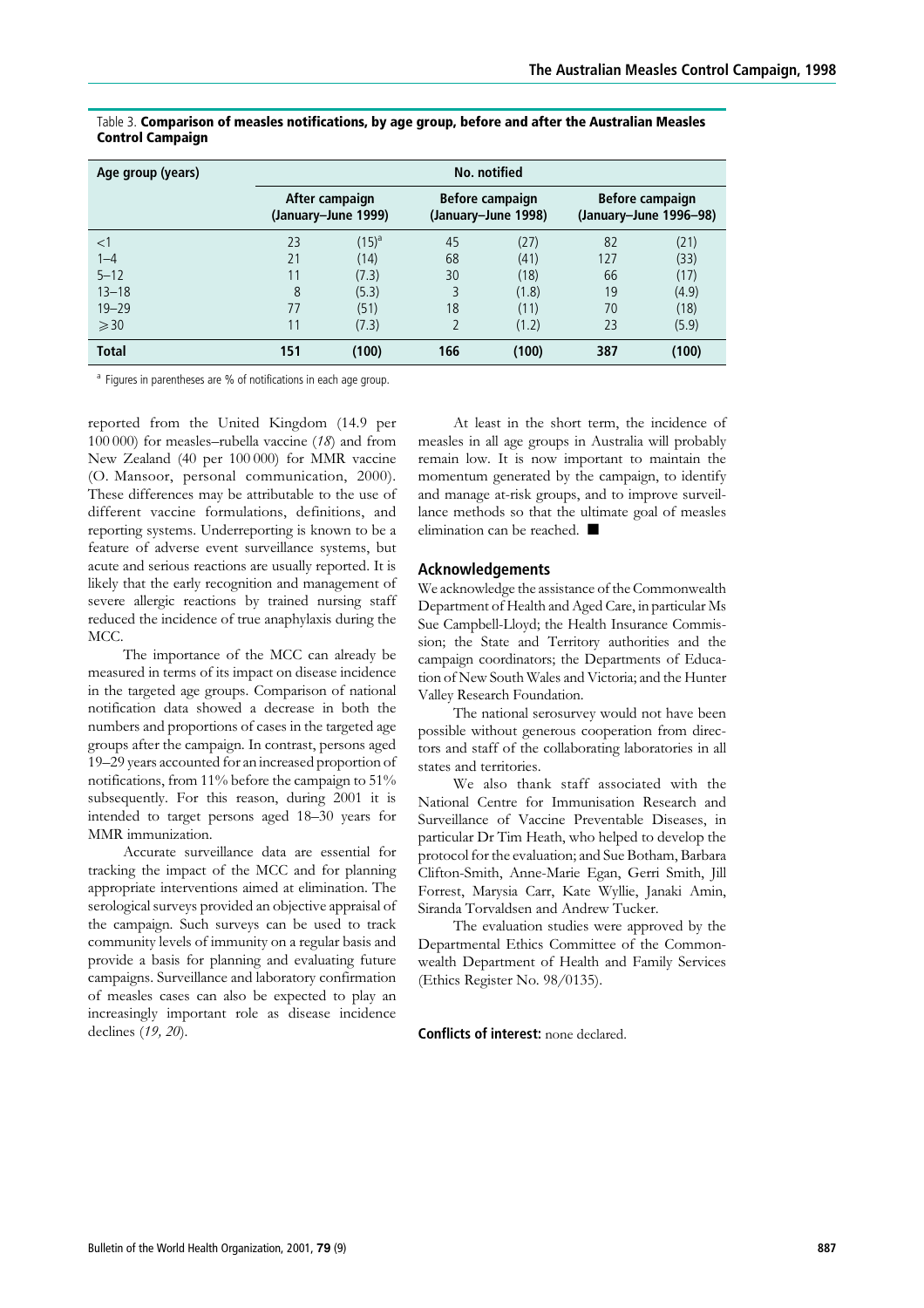| Age group (years) | No. notified                          |            |                                        |       |                                                  |       |  |
|-------------------|---------------------------------------|------------|----------------------------------------|-------|--------------------------------------------------|-------|--|
|                   | After campaign<br>(January–June 1999) |            | Before campaign<br>(January-June 1998) |       | <b>Before campaign</b><br>(January–June 1996–98) |       |  |
| $<$ 1             | 23                                    | $(15)^{a}$ | 45                                     | (27)  | 82                                               | (21)  |  |
| $1 - 4$           | 21                                    | (14)       | 68                                     | (41)  | 127                                              | (33)  |  |
| $5 - 12$          | 11                                    | (7.3)      | 30                                     | (18)  | 66                                               | (17)  |  |
| $13 - 18$         | 8                                     | (5.3)      | 3                                      | (1.8) | 19                                               | (4.9) |  |
| $19 - 29$         | 77                                    | (51)       | 18                                     | (11)  | 70                                               | (18)  |  |
| $\geqslant$ 30    | 11                                    | (7.3)      |                                        | (1.2) | 23                                               | (5.9) |  |
| <b>Total</b>      | 151                                   | (100)      | 166                                    | (100) | 387                                              | (100) |  |

#### Table 3. Comparison of measles notifications, by age group, before and after the Australian Measles Control Campaign

<sup>a</sup> Figures in parentheses are % of notifications in each age group.

reported from the United Kingdom (14.9 per 100 000) for measles–rubella vaccine (18) and from New Zealand (40 per 100 000) for MMR vaccine (O. Mansoor, personal communication, 2000). These differences may be attributable to the use of different vaccine formulations, definitions, and reporting systems. Underreporting is known to be a feature of adverse event surveillance systems, but acute and serious reactions are usually reported. It is likely that the early recognition and management of severe allergic reactions by trained nursing staff reduced the incidence of true anaphylaxis during the MCC.

The importance of the MCC can already be measured in terms of its impact on disease incidence in the targeted age groups. Comparison of national notification data showed a decrease in both the numbers and proportions of cases in the targeted age groups after the campaign. In contrast, persons aged 19–29 years accounted for an increased proportion of notifications, from 11% before the campaign to 51% subsequently. For this reason, during 2001 it is intended to target persons aged 18–30 years for MMR immunization.

Accurate surveillance data are essential for tracking the impact of the MCC and for planning appropriate interventions aimed at elimination. The serological surveys provided an objective appraisal of the campaign. Such surveys can be used to track community levels of immunity on a regular basis and provide a basis for planning and evaluating future campaigns. Surveillance and laboratory confirmation of measles cases can also be expected to play an increasingly important role as disease incidence declines (19, 20).

At least in the short term, the incidence of measles in all age groups in Australia will probably remain low. It is now important to maintain the momentum generated by the campaign, to identify and manage at-risk groups, and to improve surveillance methods so that the ultimate goal of measles elimination can be reached.  $\blacksquare$ 

# Acknowledgements

We acknowledge the assistance of the Commonwealth Department of Health and Aged Care, in particular Ms Sue Campbell-Lloyd; the Health Insurance Commission; the State and Territory authorities and the campaign coordinators; the Departments of Education of New South Wales and Victoria; and the Hunter Valley Research Foundation.

The national serosurvey would not have been possible without generous cooperation from directors and staff of the collaborating laboratories in all states and territories.

We also thank staff associated with the National Centre for Immunisation Research and Surveillance of Vaccine Preventable Diseases, in particular Dr Tim Heath, who helped to develop the protocol for the evaluation; and Sue Botham, Barbara Clifton-Smith, Anne-Marie Egan, Gerri Smith, Jill Forrest, Marysia Carr, Kate Wyllie, Janaki Amin, Siranda Torvaldsen and Andrew Tucker.

The evaluation studies were approved by the Departmental Ethics Committee of the Commonwealth Department of Health and Family Services (Ethics Register No. 98/0135).

# Conflicts of interest: none declared.